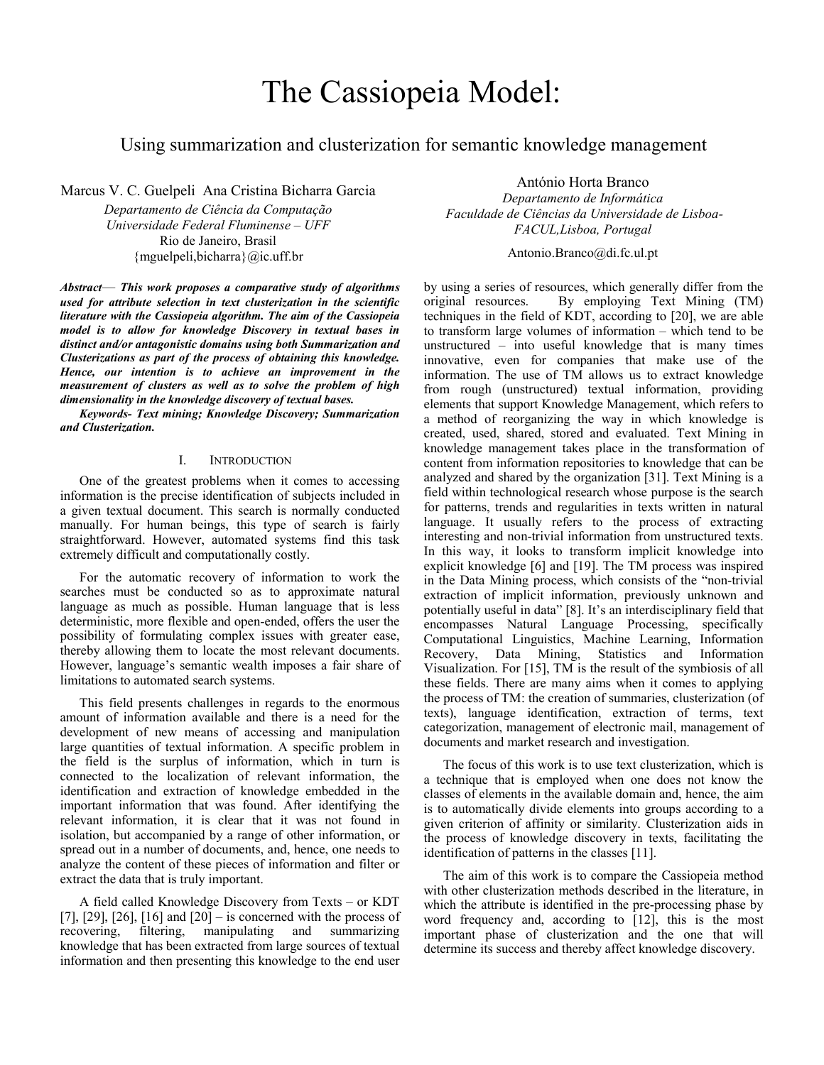# The Cassiopeia Model:

# Using summarization and clusterization for semantic knowledge management

Marcus V. C. Guelpeli Ana Cristina Bicharra Garcia

*Departamento de Ciência da Computação Universidade Federal Fluminense – UFF*  Rio de Janeiro, Brasil {mguelpeli,bicharra}@ic.uff.br

*Abstract*— *This work proposes a comparative study of algorithms used for attribute selection in text clusterization in the scientific literature with the Cassiopeia algorithm. The aim of the Cassiopeia model is to allow for knowledge Discovery in textual bases in distinct and/or antagonistic domains using both Summarization and Clusterizations as part of the process of obtaining this knowledge. Hence, our intention is to achieve an improvement in the measurement of clusters as well as to solve the problem of high dimensionality in the knowledge discovery of textual bases.* 

*Keywords- Text mining; Knowledge Discovery; Summarization and Clusterization.* 

#### I. INTRODUCTION

One of the greatest problems when it comes to accessing information is the precise identification of subjects included in a given textual document. This search is normally conducted manually. For human beings, this type of search is fairly straightforward. However, automated systems find this task extremely difficult and computationally costly.

For the automatic recovery of information to work the searches must be conducted so as to approximate natural language as much as possible. Human language that is less deterministic, more flexible and open-ended, offers the user the possibility of formulating complex issues with greater ease, thereby allowing them to locate the most relevant documents. However, language's semantic wealth imposes a fair share of limitations to automated search systems.

This field presents challenges in regards to the enormous amount of information available and there is a need for the development of new means of accessing and manipulation large quantities of textual information. A specific problem in the field is the surplus of information, which in turn is connected to the localization of relevant information, the identification and extraction of knowledge embedded in the important information that was found. After identifying the relevant information, it is clear that it was not found in isolation, but accompanied by a range of other information, or spread out in a number of documents, and, hence, one needs to analyze the content of these pieces of information and filter or extract the data that is truly important.

A field called Knowledge Discovery from Texts – or KDT [7], [29], [26], [16] and  $[20]$  – is concerned with the process of recovering, filtering, manipulating and summarizing knowledge that has been extracted from large sources of textual information and then presenting this knowledge to the end user

António Horta Branco

*Departamento de Informática Faculdade de Ciências da Universidade de Lisboa-FACUL,Lisboa, Portugal*

Antonio.Branco@di.fc.ul.pt

by using a series of resources, which generally differ from the original resources. By employing Text Mining (TM) techniques in the field of KDT, according to [20], we are able to transform large volumes of information – which tend to be unstructured – into useful knowledge that is many times innovative, even for companies that make use of the information. The use of TM allows us to extract knowledge from rough (unstructured) textual information, providing elements that support Knowledge Management, which refers to a method of reorganizing the way in which knowledge is created, used, shared, stored and evaluated. Text Mining in knowledge management takes place in the transformation of content from information repositories to knowledge that can be analyzed and shared by the organization [31]. Text Mining is a field within technological research whose purpose is the search for patterns, trends and regularities in texts written in natural language. It usually refers to the process of extracting interesting and non-trivial information from unstructured texts. In this way, it looks to transform implicit knowledge into explicit knowledge [6] and [19]. The TM process was inspired in the Data Mining process, which consists of the "non-trivial extraction of implicit information, previously unknown and potentially useful in data" [8]. It's an interdisciplinary field that encompasses Natural Language Processing, specifically Computational Linguistics, Machine Learning, Information Recovery, Data Mining, Statistics and Information Visualization. For [15], TM is the result of the symbiosis of all these fields. There are many aims when it comes to applying the process of TM: the creation of summaries, clusterization (of texts), language identification, extraction of terms, text categorization, management of electronic mail, management of documents and market research and investigation.

The focus of this work is to use text clusterization, which is a technique that is employed when one does not know the classes of elements in the available domain and, hence, the aim is to automatically divide elements into groups according to a given criterion of affinity or similarity. Clusterization aids in the process of knowledge discovery in texts, facilitating the identification of patterns in the classes [11].

The aim of this work is to compare the Cassiopeia method with other clusterization methods described in the literature, in which the attribute is identified in the pre-processing phase by word frequency and, according to [12], this is the most important phase of clusterization and the one that will determine its success and thereby affect knowledge discovery.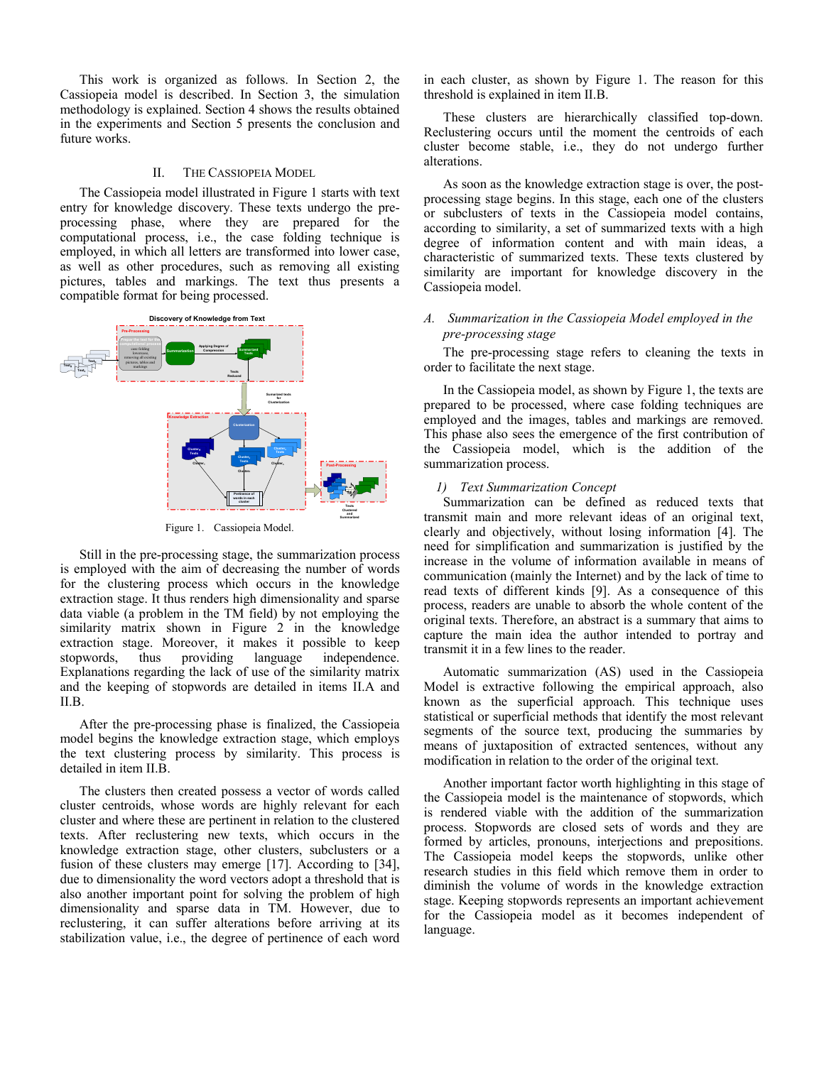This work is organized as follows. In Section 2, the Cassiopeia model is described. In Section 3, the simulation methodology is explained. Section 4 shows the results obtained in the experiments and Section 5 presents the conclusion and future works.

#### II. THE CASSIOPEIA MODEL

The Cassiopeia model illustrated in Figure 1 starts with text entry for knowledge discovery. These texts undergo the preprocessing phase, where they are prepared for the computational process, i.e., the case folding technique is employed, in which all letters are transformed into lower case, as well as other procedures, such as removing all existing pictures, tables and markings. The text thus presents a compatible format for being processed.



Figure 1. Cassiopeia Model.

Still in the pre-processing stage, the summarization process is employed with the aim of decreasing the number of words for the clustering process which occurs in the knowledge extraction stage. It thus renders high dimensionality and sparse data viable (a problem in the TM field) by not employing the similarity matrix shown in Figure 2 in the knowledge extraction stage. Moreover, it makes it possible to keep stopwords, thus providing language independence. stopwords, thus providing language independence. Explanations regarding the lack of use of the similarity matrix and the keeping of stopwords are detailed in items II.A and II.B.

After the pre-processing phase is finalized, the Cassiopeia model begins the knowledge extraction stage, which employs the text clustering process by similarity. This process is detailed in item II.B.

The clusters then created possess a vector of words called cluster centroids, whose words are highly relevant for each cluster and where these are pertinent in relation to the clustered texts. After reclustering new texts, which occurs in the knowledge extraction stage, other clusters, subclusters or a fusion of these clusters may emerge [17]. According to [34], due to dimensionality the word vectors adopt a threshold that is also another important point for solving the problem of high dimensionality and sparse data in TM. However, due to reclustering, it can suffer alterations before arriving at its stabilization value, i.e., the degree of pertinence of each word

in each cluster, as shown by Figure 1. The reason for this threshold is explained in item II.B.

These clusters are hierarchically classified top-down. Reclustering occurs until the moment the centroids of each cluster become stable, i.e., they do not undergo further alterations.

As soon as the knowledge extraction stage is over, the postprocessing stage begins. In this stage, each one of the clusters or subclusters of texts in the Cassiopeia model contains, according to similarity, a set of summarized texts with a high degree of information content and with main ideas, a characteristic of summarized texts. These texts clustered by similarity are important for knowledge discovery in the Cassiopeia model.

# *A. Summarization in the Cassiopeia Model employed in the pre-processing stage*

The pre-processing stage refers to cleaning the texts in order to facilitate the next stage.

In the Cassiopeia model, as shown by Figure 1, the texts are prepared to be processed, where case folding techniques are employed and the images, tables and markings are removed. This phase also sees the emergence of the first contribution of the Cassiopeia model, which is the addition of the summarization process.

# *1) Text Summarization Concept*

Summarization can be defined as reduced texts that transmit main and more relevant ideas of an original text, clearly and objectively, without losing information [4]. The need for simplification and summarization is justified by the increase in the volume of information available in means of communication (mainly the Internet) and by the lack of time to read texts of different kinds [9]. As a consequence of this process, readers are unable to absorb the whole content of the original texts. Therefore, an abstract is a summary that aims to capture the main idea the author intended to portray and transmit it in a few lines to the reader.

Automatic summarization (AS) used in the Cassiopeia Model is extractive following the empirical approach, also known as the superficial approach. This technique uses statistical or superficial methods that identify the most relevant segments of the source text, producing the summaries by means of juxtaposition of extracted sentences, without any modification in relation to the order of the original text.

Another important factor worth highlighting in this stage of the Cassiopeia model is the maintenance of stopwords, which is rendered viable with the addition of the summarization process. Stopwords are closed sets of words and they are formed by articles, pronouns, interjections and prepositions. The Cassiopeia model keeps the stopwords, unlike other research studies in this field which remove them in order to diminish the volume of words in the knowledge extraction stage. Keeping stopwords represents an important achievement for the Cassiopeia model as it becomes independent of language.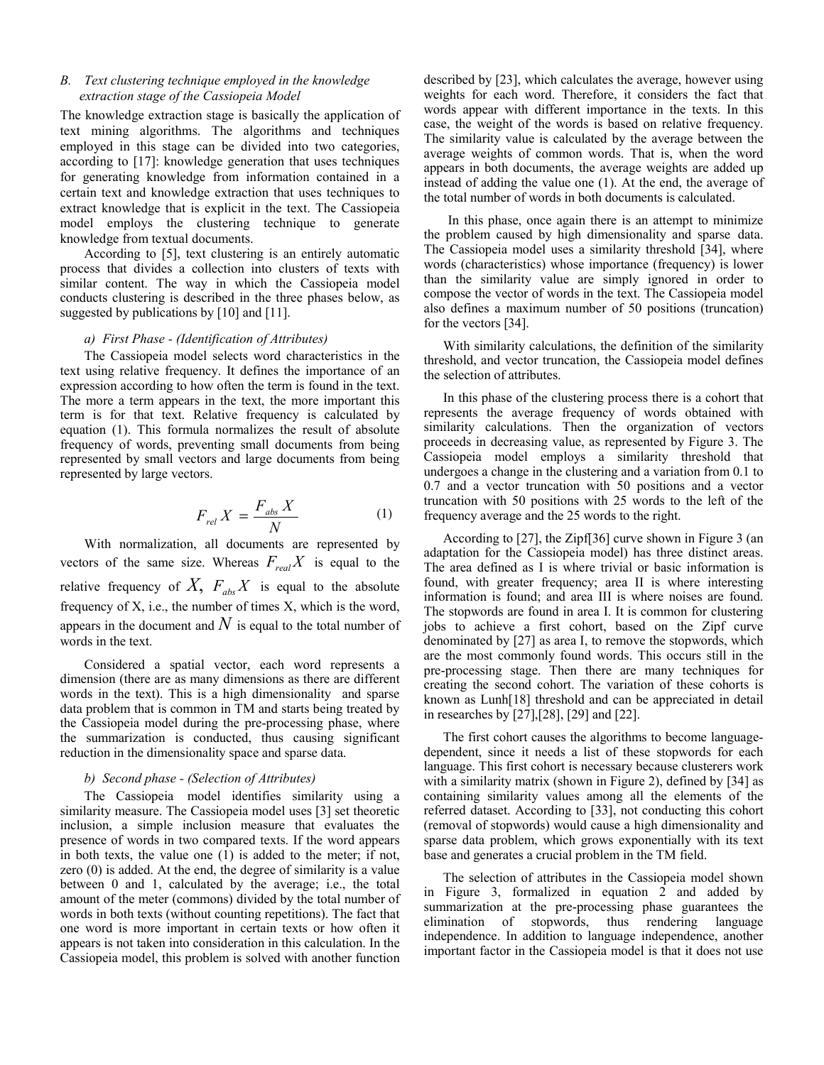# *B. Text clustering technique employed in the knowledge extraction stage of the Cassiopeia Model*

The knowledge extraction stage is basically the application of text mining algorithms. The algorithms and techniques employed in this stage can be divided into two categories, according to [17]: knowledge generation that uses techniques for generating knowledge from information contained in a certain text and knowledge extraction that uses techniques to extract knowledge that is explicit in the text. The Cassiopeia model employs the clustering technique to generate knowledge from textual documents.

According to [5], text clustering is an entirely automatic process that divides a collection into clusters of texts with similar content. The way in which the Cassiopeia model conducts clustering is described in the three phases below, as suggested by publications by [10] and [11].

## *a) First Phase - (Identification of Attributes)*

The Cassiopeia model selects word characteristics in the text using relative frequency. It defines the importance of an expression according to how often the term is found in the text. The more a term appears in the text, the more important this term is for that text. Relative frequency is calculated by equation (1). This formula normalizes the result of absolute frequency of words, preventing small documents from being represented by small vectors and large documents from being represented by large vectors.

$$
F_{rel} X = \frac{F_{abs} X}{N}
$$
 (1)

With normalization, all documents are represented by vectors of the same size. Whereas  $F_{\text{real}}X$  is equal to the relative frequency of  $X$ ,  $F_{abc}X$  is equal to the absolute frequency of X, i.e., the number of times X, which is the word, appears in the document and  $N$  is equal to the total number of words in the text.

Considered a spatial vector, each word represents a dimension (there are as many dimensions as there are different words in the text). This is a high dimensionality and sparse data problem that is common in TM and starts being treated by the Cassiopeia model during the pre-processing phase, where the summarization is conducted, thus causing significant reduction in the dimensionality space and sparse data.

#### *b) Second phase - (Selection of Attributes)*

The Cassiopeia model identifies similarity using a similarity measure. The Cassiopeia model uses [3] set theoretic inclusion, a simple inclusion measure that evaluates the presence of words in two compared texts. If the word appears in both texts, the value one (1) is added to the meter; if not, zero (0) is added. At the end, the degree of similarity is a value between 0 and 1, calculated by the average; i.e., the total amount of the meter (commons) divided by the total number of words in both texts (without counting repetitions). The fact that one word is more important in certain texts or how often it appears is not taken into consideration in this calculation. In the Cassiopeia model, this problem is solved with another function

described by [23], which calculates the average, however using weights for each word. Therefore, it considers the fact that words appear with different importance in the texts. In this case, the weight of the words is based on relative frequency. The similarity value is calculated by the average between the average weights of common words. That is, when the word appears in both documents, the average weights are added up instead of adding the value one (1). At the end, the average of the total number of words in both documents is calculated.

In this phase, once again there is an attempt to minimize the problem caused by high dimensionality and sparse data. The Cassiopeia model uses a similarity threshold [34], where words (characteristics) whose importance (frequency) is lower than the similarity value are simply ignored in order to compose the vector of words in the text. The Cassiopeia model also defines a maximum number of 50 positions (truncation) for the vectors [34].

With similarity calculations, the definition of the similarity threshold, and vector truncation, the Cassiopeia model defines the selection of attributes.

In this phase of the clustering process there is a cohort that represents the average frequency of words obtained with similarity calculations. Then the organization of vectors proceeds in decreasing value, as represented by Figure 3. The Cassiopeia model employs a similarity threshold that undergoes a change in the clustering and a variation from 0.1 to 0.7 and a vector truncation with 50 positions and a vector truncation with 50 positions with 25 words to the left of the frequency average and the 25 words to the right.

According to [27], the Zipf[36] curve shown in Figure 3 (an adaptation for the Cassiopeia model) has three distinct areas. The area defined as I is where trivial or basic information is found, with greater frequency; area II is where interesting information is found; and area III is where noises are found. The stopwords are found in area I. It is common for clustering jobs to achieve a first cohort, based on the Zipf curve denominated by [27] as area I, to remove the stopwords, which are the most commonly found words. This occurs still in the pre-processing stage. Then there are many techniques for creating the second cohort. The variation of these cohorts is known as Lunh[18] threshold and can be appreciated in detail in researches by [27],[28], [29] and [22].

The first cohort causes the algorithms to become languagedependent, since it needs a list of these stopwords for each language. This first cohort is necessary because clusterers work with a similarity matrix (shown in Figure 2), defined by [34] as containing similarity values among all the elements of the referred dataset. According to [33], not conducting this cohort (removal of stopwords) would cause a high dimensionality and sparse data problem, which grows exponentially with its text base and generates a crucial problem in the TM field.

The selection of attributes in the Cassiopeia model shown in Figure 3, formalized in equation 2 and added by summarization at the pre-processing phase guarantees the elimination of stopwords, thus rendering language independence. In addition to language independence, another important factor in the Cassiopeia model is that it does not use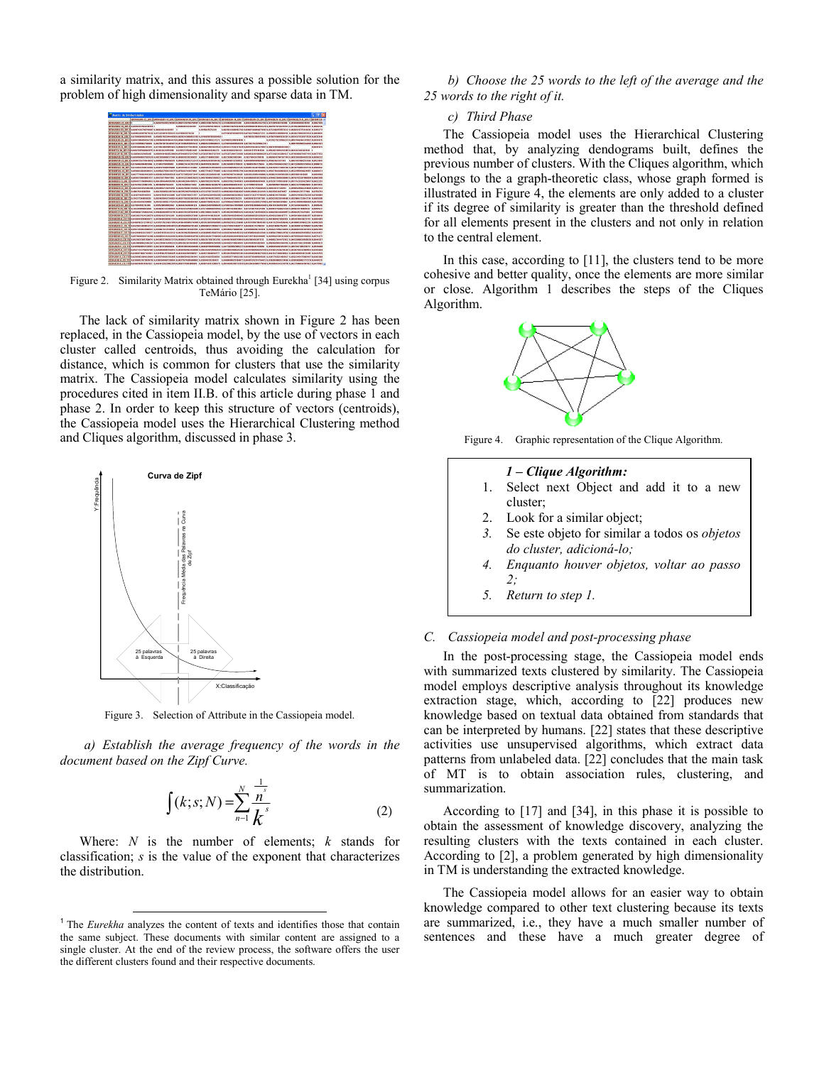a similarity matrix, and this assures a possible solution for the problem of high dimensionality and sparse data in TM.



Figure 2. Similarity Matrix obtained through Eurekha<sup>1</sup> [34] using corpus TeMário [25].

The lack of similarity matrix shown in Figure 2 has been replaced, in the Cassiopeia model, by the use of vectors in each cluster called centroids, thus avoiding the calculation for distance, which is common for clusters that use the similarity matrix. The Cassiopeia model calculates similarity using the procedures cited in item II.B. of this article during phase 1 and phase 2. In order to keep this structure of vectors (centroids), the Cassiopeia model uses the Hierarchical Clustering method and Cliques algorithm, discussed in phase 3.



Figure 3. Selection of Attribute in the Cassiopeia model.

*a) Establish the average frequency of the words in the document based on the Zipf Curve.* 

$$
\int (k; s; N) = \sum_{n=1}^{N} \frac{\frac{1}{n^{s}}}{k^{s}}
$$
 (2)

Where: *N* is the number of elements; *k* stands for classification; *s* is the value of the exponent that characterizes the distribution.

*b) Choose the 25 words to the left of the average and the 25 words to the right of it.* 

# *c) Third Phase*

The Cassiopeia model uses the Hierarchical Clustering method that, by analyzing dendograms built, defines the previous number of clusters. With the Cliques algorithm, which belongs to the a graph-theoretic class, whose graph formed is illustrated in Figure 4, the elements are only added to a cluster if its degree of similarity is greater than the threshold defined for all elements present in the clusters and not only in relation to the central element.

In this case, according to [11], the clusters tend to be more cohesive and better quality, once the elements are more similar or close. Algorithm 1 describes the steps of the Cliques Algorithm.



Figure 4. Graphic representation of the Clique Algorithm.

#### *1 – Clique Algorithm:*

- 1. Select next Object and add it to a new cluster;
- 2. Look for a similar object;
- 3. Se este objeto for similar a todos os *objetos do cluster, adicioná-lo;*
- *4. Enquanto houver objetos, voltar ao passo 2;*
- *5. Return to step 1.*

# *C. Cassiopeia model and post-processing phase*

In the post-processing stage, the Cassiopeia model ends with summarized texts clustered by similarity. The Cassiopeia model employs descriptive analysis throughout its knowledge extraction stage, which, according to [22] produces new knowledge based on textual data obtained from standards that can be interpreted by humans. [22] states that these descriptive activities use unsupervised algorithms, which extract data patterns from unlabeled data. [22] concludes that the main task of MT is to obtain association rules, clustering, and summarization.

According to [17] and [34], in this phase it is possible to obtain the assessment of knowledge discovery, analyzing the resulting clusters with the texts contained in each cluster. According to [2], a problem generated by high dimensionality in TM is understanding the extracted knowledge.

The Cassiopeia model allows for an easier way to obtain knowledge compared to other text clustering because its texts are summarized, i.e., they have a much smaller number of sentences and these have a much greater degree of

<sup>&</sup>lt;sup>1</sup> The *Eurekha* analyzes the content of texts and identifies those that contain the same subject. These documents with similar content are assigned to a single cluster. At the end of the review process, the software offers the user the different clusters found and their respective documents.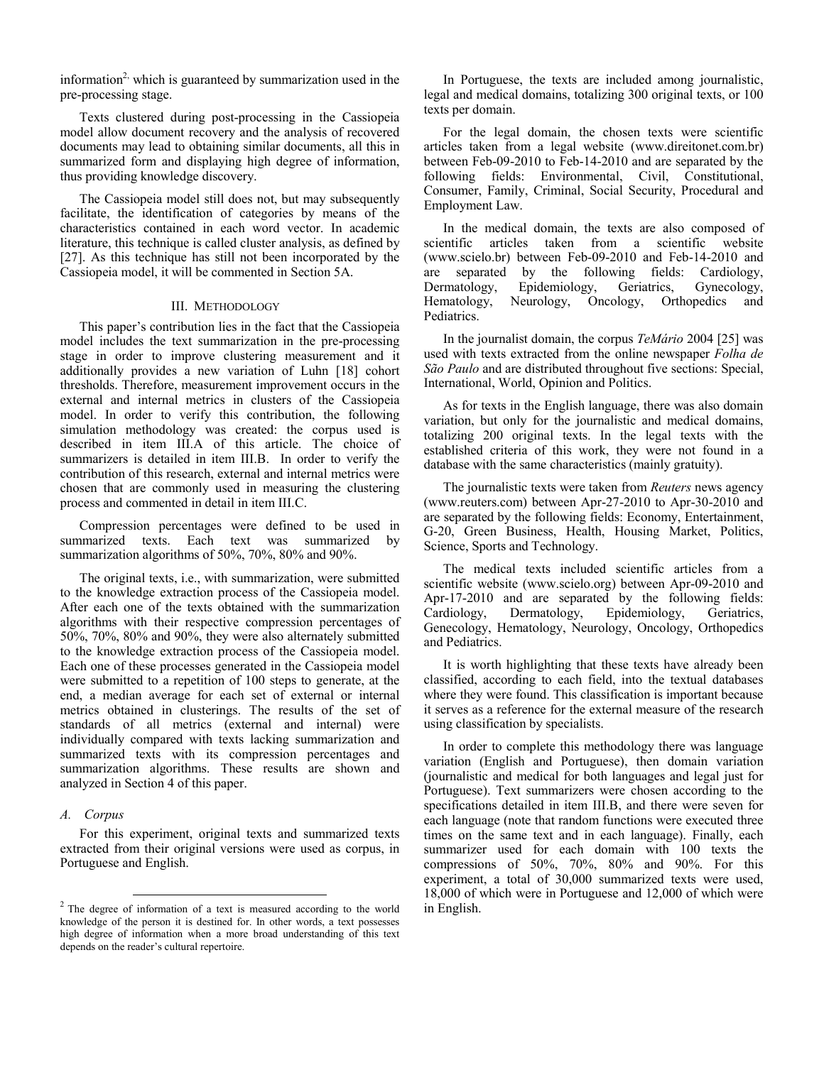information<sup>2,</sup> which is guaranteed by summarization used in the pre-processing stage.

Texts clustered during post-processing in the Cassiopeia model allow document recovery and the analysis of recovered documents may lead to obtaining similar documents, all this in summarized form and displaying high degree of information, thus providing knowledge discovery.

The Cassiopeia model still does not, but may subsequently facilitate, the identification of categories by means of the characteristics contained in each word vector. In academic literature, this technique is called cluster analysis, as defined by [27]. As this technique has still not been incorporated by the Cassiopeia model, it will be commented in Section 5A.

#### III. METHODOLOGY

This paper's contribution lies in the fact that the Cassiopeia model includes the text summarization in the pre-processing stage in order to improve clustering measurement and it additionally provides a new variation of Luhn [18] cohort thresholds. Therefore, measurement improvement occurs in the external and internal metrics in clusters of the Cassiopeia model. In order to verify this contribution, the following simulation methodology was created: the corpus used is described in item III.A of this article. The choice of summarizers is detailed in item III.B. In order to verify the contribution of this research, external and internal metrics were chosen that are commonly used in measuring the clustering process and commented in detail in item III.C.

Compression percentages were defined to be used in summarized texts. Each text was summarized by summarization algorithms of 50%, 70%, 80% and 90%.

The original texts, i.e., with summarization, were submitted to the knowledge extraction process of the Cassiopeia model. After each one of the texts obtained with the summarization algorithms with their respective compression percentages of 50%, 70%, 80% and 90%, they were also alternately submitted to the knowledge extraction process of the Cassiopeia model. Each one of these processes generated in the Cassiopeia model were submitted to a repetition of 100 steps to generate, at the end, a median average for each set of external or internal metrics obtained in clusterings. The results of the set of standards of all metrics (external and internal) were individually compared with texts lacking summarization and summarized texts with its compression percentages and summarization algorithms. These results are shown and analyzed in Section 4 of this paper.

# *A. Corpus*

For this experiment, original texts and summarized texts extracted from their original versions were used as corpus, in Portuguese and English.

In Portuguese, the texts are included among journalistic, legal and medical domains, totalizing 300 original texts, or 100 texts per domain.

For the legal domain, the chosen texts were scientific articles taken from a legal website (www.direitonet.com.br) between Feb-09-2010 to Feb-14-2010 and are separated by the following fields: Environmental, Civil, Constitutional, Consumer, Family, Criminal, Social Security, Procedural and Employment Law.

In the medical domain, the texts are also composed of scientific articles taken from a scientific website (www.scielo.br) between Feb-09-2010 and Feb-14-2010 and are separated by the following fields: Cardiology, Dermatology, Epidemiology, Geriatrics, Gynecology, Hematology, Neurology, Oncology, Orthopedics and Pediatrics.

In the journalist domain, the corpus *TeMário* 2004 [25] was used with texts extracted from the online newspaper *Folha de São Paulo* and are distributed throughout five sections: Special, International, World, Opinion and Politics.

As for texts in the English language, there was also domain variation, but only for the journalistic and medical domains, totalizing 200 original texts. In the legal texts with the established criteria of this work, they were not found in a database with the same characteristics (mainly gratuity).

The journalistic texts were taken from *Reuters* news agency (www.reuters.com) between Apr-27-2010 to Apr-30-2010 and are separated by the following fields: Economy, Entertainment, G-20, Green Business, Health, Housing Market, Politics, Science, Sports and Technology.

The medical texts included scientific articles from a scientific website (www.scielo.org) between Apr-09-2010 and Apr-17-2010 and are separated by the following fields: Cardiology, Dermatology, Epidemiology, Geriatrics, Genecology, Hematology, Neurology, Oncology, Orthopedics and Pediatrics.

It is worth highlighting that these texts have already been classified, according to each field, into the textual databases where they were found. This classification is important because it serves as a reference for the external measure of the research using classification by specialists.

In order to complete this methodology there was language variation (English and Portuguese), then domain variation (journalistic and medical for both languages and legal just for Portuguese). Text summarizers were chosen according to the specifications detailed in item III.B, and there were seven for each language (note that random functions were executed three times on the same text and in each language). Finally, each summarizer used for each domain with 100 texts the compressions of 50%, 70%, 80% and 90%. For this experiment, a total of 30,000 summarized texts were used, 18,000 of which were in Portuguese and 12,000 of which were in English.

<sup>&</sup>lt;sup>2</sup> The degree of information of a text is measured according to the world knowledge of the person it is destined for. In other words, a text possesses high degree of information when a more broad understanding of this text depends on the reader's cultural repertoire.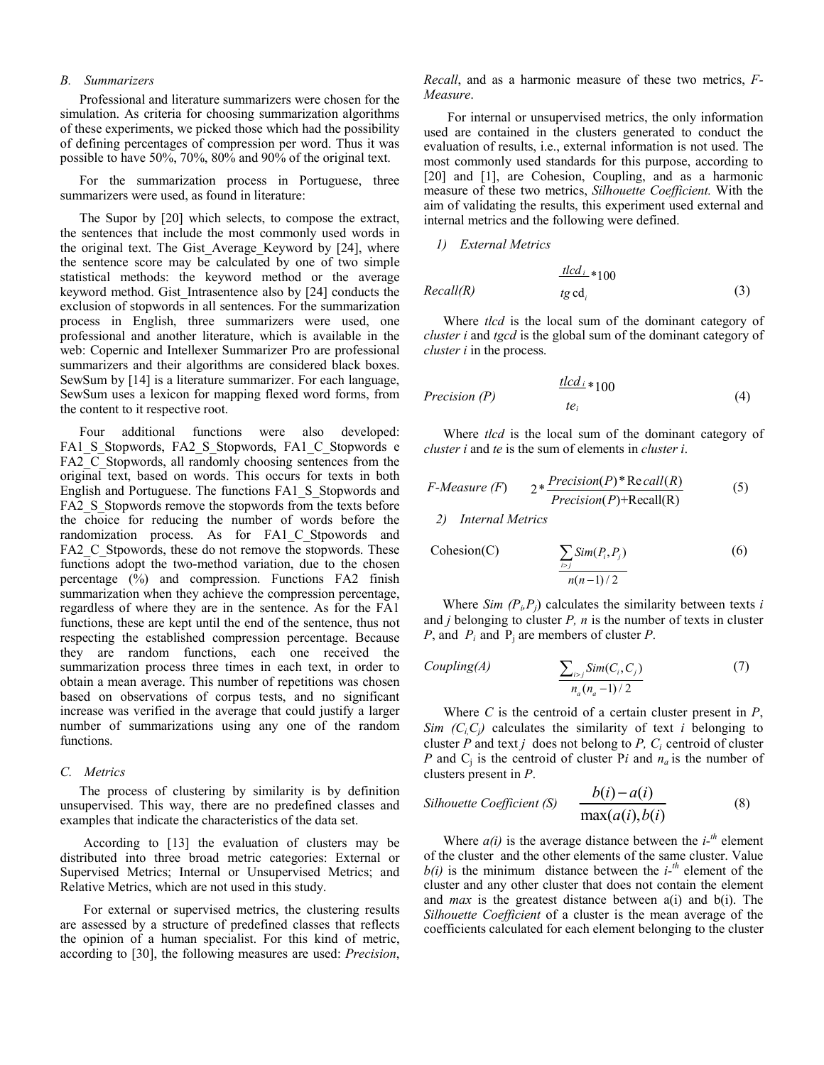#### *B. Summarizers*

Professional and literature summarizers were chosen for the simulation. As criteria for choosing summarization algorithms of these experiments, we picked those which had the possibility of defining percentages of compression per word. Thus it was possible to have 50%, 70%, 80% and 90% of the original text.

For the summarization process in Portuguese, three summarizers were used, as found in literature:

The Supor by [20] which selects, to compose the extract, the sentences that include the most commonly used words in the original text. The Gist\_Average\_Keyword by [24], where the sentence score may be calculated by one of two simple statistical methods: the keyword method or the average keyword method. Gist\_Intrasentence also by [24] conducts the exclusion of stopwords in all sentences. For the summarization process in English, three summarizers were used, one professional and another literature, which is available in the web: Copernic and Intellexer Summarizer Pro are professional summarizers and their algorithms are considered black boxes. SewSum by [14] is a literature summarizer. For each language, SewSum uses a lexicon for mapping flexed word forms, from the content to it respective root.

Four additional functions were also developed: FA1\_S\_Stopwords, FA2\_S\_Stopwords, FA1\_C\_Stopwords e FA2 C Stopwords, all randomly choosing sentences from the original text, based on words. This occurs for texts in both English and Portuguese. The functions FA1\_S\_Stopwords and FA2 S Stopwords remove the stopwords from the texts before the choice for reducing the number of words before the randomization process. As for FA1\_C\_Stpowords and FA2 C. Stpowords, these do not remove the stopwords. These functions adopt the two-method variation, due to the chosen percentage (%) and compression. Functions FA2 finish summarization when they achieve the compression percentage, regardless of where they are in the sentence. As for the FA1 functions, these are kept until the end of the sentence, thus not respecting the established compression percentage. Because they are random functions, each one received the summarization process three times in each text, in order to obtain a mean average. This number of repetitions was chosen based on observations of corpus tests, and no significant increase was verified in the average that could justify a larger number of summarizations using any one of the random functions.

#### *C. Metrics*

The process of clustering by similarity is by definition unsupervised. This way, there are no predefined classes and examples that indicate the characteristics of the data set.

According to [13] the evaluation of clusters may be distributed into three broad metric categories: External or Supervised Metrics; Internal or Unsupervised Metrics; and Relative Metrics, which are not used in this study.

For external or supervised metrics, the clustering results are assessed by a structure of predefined classes that reflects the opinion of a human specialist. For this kind of metric, according to [30], the following measures are used: *Precision*, *Recall*, and as a harmonic measure of these two metrics, *F-Measure*.

For internal or unsupervised metrics, the only information used are contained in the clusters generated to conduct the evaluation of results, i.e., external information is not used. The most commonly used standards for this purpose, according to [20] and [1], are Cohesion, Coupling, and as a harmonic measure of these two metrics, *Silhouette Coefficient.* With the aim of validating the results, this experiment used external and internal metrics and the following were defined.

*1) External Metrics* 

$$
\frac{t t c d_{i}}{t g c d_{i}} * 100
$$
\n
$$
\text{Recall}(R) \tag{3}
$$

*tlcd*

Where *tlcd* is the local sum of the dominant category of *cluster i* and *tgcd* is the global sum of the dominant category of *cluster i* in the process.

$$
Precision(P) \qquad \qquad \frac{t l c d_i}{t e_i} * 100 \tag{4}
$$

Where *tlcd* is the local sum of the dominant category of *cluster i* and *te* is the sum of elements in *cluster i*.

$$
F\text{-}Measure (F) \qquad 2* \frac{Precision(P)*Recall(R)}{Precision(P)+Recall(R)} \tag{5}
$$

*2) Internal Metrics* 

$$
Cohesion(C) \qquad \qquad \sum_{i>j} Sim(P_i, P_j) \qquad \qquad (6)
$$
\n
$$
\frac{N}{n(n-1)/2}
$$

Where *Sim*  $(P_i, P_j)$  calculates the similarity between texts *i* and  $j$  belonging to cluster  $P$ ,  $n$  is the number of texts in cluster *P*, and *Pi* and Pj are members of cluster *P*.

Coupling(A)

\n
$$
\frac{\sum_{i>j} Sim(C_i, C_j)}{n_a(n_a - 1)/2}
$$
\n(7)

Where *C* is the centroid of a certain cluster present in *P*, *Sim*  $(C_i, C_j)$  calculates the similarity of text *i* belonging to cluster  $P$  and text  $j$  does not belong to  $P$ ,  $C_i$  centroid of cluster *P* and  $C_i$  is the centroid of cluster P*i* and  $n_a$  is the number of clusters present in *P*.

$$
Silhouette Coefficient (S) \quad \frac{b(i) - a(i)}{\max(a(i), b(i)}
$$
(8)

Where  $a(i)$  is the average distance between the  $i^{-th}$  element of the cluster and the other elements of the same cluster. Value  $b(i)$  is the minimum distance between the  $i^{-th}$  element of the cluster and any other cluster that does not contain the element and *max* is the greatest distance between a(i) and b(i). The *Silhouette Coefficient* of a cluster is the mean average of the coefficients calculated for each element belonging to the cluster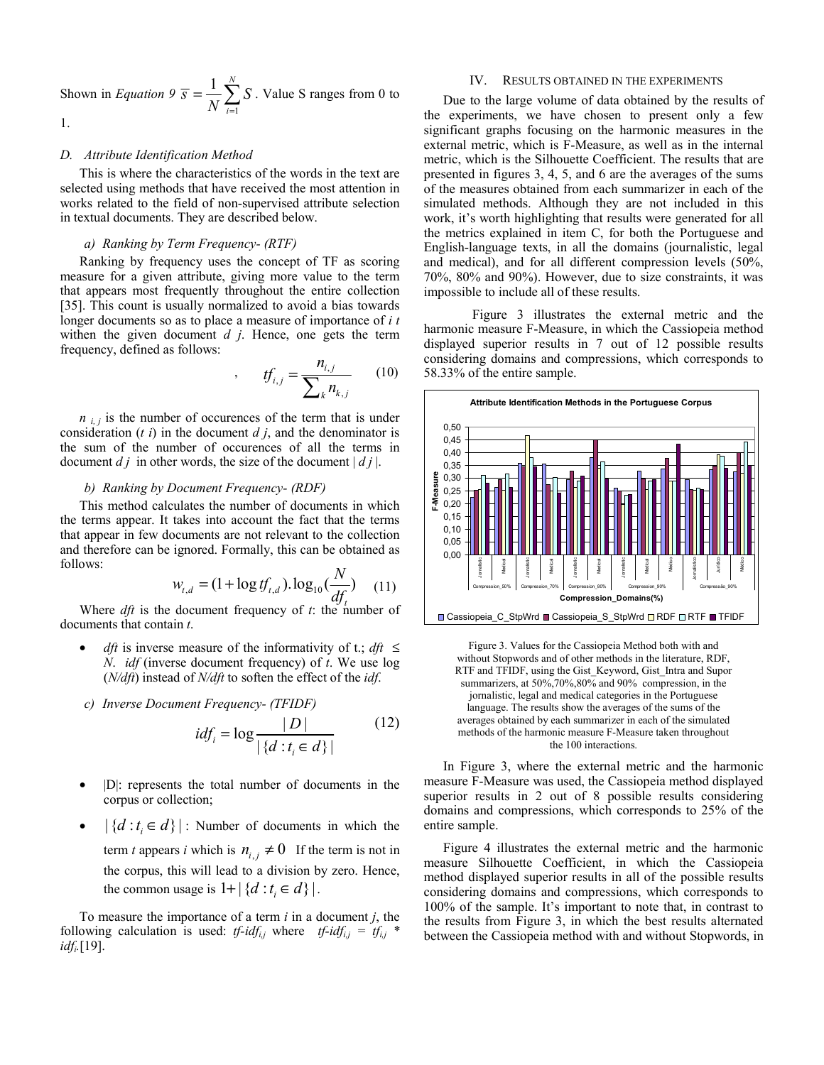Shown in *Equation 9* 1  $1 \n\sqrt{\frac{N}{N}}$ *i*  $\overline{s} = \frac{1}{\sqrt{s}}$  $=\frac{1}{N}\sum_{i=1}^{N} S$ . Value S ranges from 0 to 1.

#### *D. Attribute Identification Method*

This is where the characteristics of the words in the text are selected using methods that have received the most attention in works related to the field of non-supervised attribute selection in textual documents. They are described below.

#### *a) Ranking by Term Frequency- (RTF)*

Ranking by frequency uses the concept of TF as scoring measure for a given attribute, giving more value to the term that appears most frequently throughout the entire collection [35]. This count is usually normalized to avoid a bias towards longer documents so as to place a measure of importance of *i t* withen the given document *d j*. Hence, one gets the term frequency, defined as follows:

$$
f_{i,j} = \frac{n_{i,j}}{\sum_{k} n_{k,j}} \qquad (10)
$$

 $n_{i,j}$  is the number of occurences of the term that is under consideration (*t i*) in the document *d j*, and the denominator is the sum of the number of occurences of all the terms in document  $d \, i$  in other words, the size of the document  $| d \, i |$ .

## *b) Ranking by Document Frequency- (RDF)*

This method calculates the number of documents in which the terms appear. It takes into account the fact that the terms that appear in few documents are not relevant to the collection and therefore can be ignored. Formally, this can be obtained as follows:

$$
w_{t,d} = (1 + \log t f_{t,d}).\log_{10}(\frac{N}{df_t})
$$
 (11)

Where *dft* is the document frequency of *t*: the number of documents that contain *t*.

- *dft* is inverse measure of the informativity of t.; *dft* ≤ *N*. *idf* (inverse document frequency) of *t*. We use log (*N/dft*) instead of *N/dft* to soften the effect of the *idf*.
- *c) Inverse Document Frequency- (TFIDF)*

$$
idf_i = \log \frac{|D|}{|\{d : t_i \in d\}|} \tag{12}
$$

- |D|: represents the total number of documents in the corpus or collection;
- $|\{d : t_i \in d\}|$ : Number of documents in which the term *t* appears *i* which is  $n_{i,j} \neq 0$  If the term is not in the corpus, this will lead to a division by zero. Hence, the common usage is  $1 + |\{d : t_i \in d\}|$ .

To measure the importance of a term *i* in a document *j*, the following calculation is used: *tf-idf<sub>i,j</sub>* where *tf-idf<sub>i,j</sub>* =  $tf_{i,j}$  \* *idfi.*[19].

#### IV. RESULTS OBTAINED IN THE EXPERIMENTS

Due to the large volume of data obtained by the results of the experiments, we have chosen to present only a few significant graphs focusing on the harmonic measures in the external metric, which is F-Measure, as well as in the internal metric, which is the Silhouette Coefficient. The results that are presented in figures 3, 4, 5, and 6 are the averages of the sums of the measures obtained from each summarizer in each of the simulated methods. Although they are not included in this work, it's worth highlighting that results were generated for all the metrics explained in item C, for both the Portuguese and English-language texts, in all the domains (journalistic, legal and medical), and for all different compression levels (50%, 70%, 80% and 90%). However, due to size constraints, it was impossible to include all of these results.

 Figure 3 illustrates the external metric and the harmonic measure F-Measure, in which the Cassiopeia method displayed superior results in 7 out of 12 possible results considering domains and compressions, which corresponds to 58.33% of the entire sample.





In Figure 3, where the external metric and the harmonic measure F-Measure was used, the Cassiopeia method displayed superior results in 2 out of 8 possible results considering domains and compressions, which corresponds to 25% of the entire sample.

Figure 4 illustrates the external metric and the harmonic measure Silhouette Coefficient, in which the Cassiopeia method displayed superior results in all of the possible results considering domains and compressions, which corresponds to 100% of the sample. It's important to note that, in contrast to the results from Figure 3, in which the best results alternated between the Cassiopeia method with and without Stopwords, in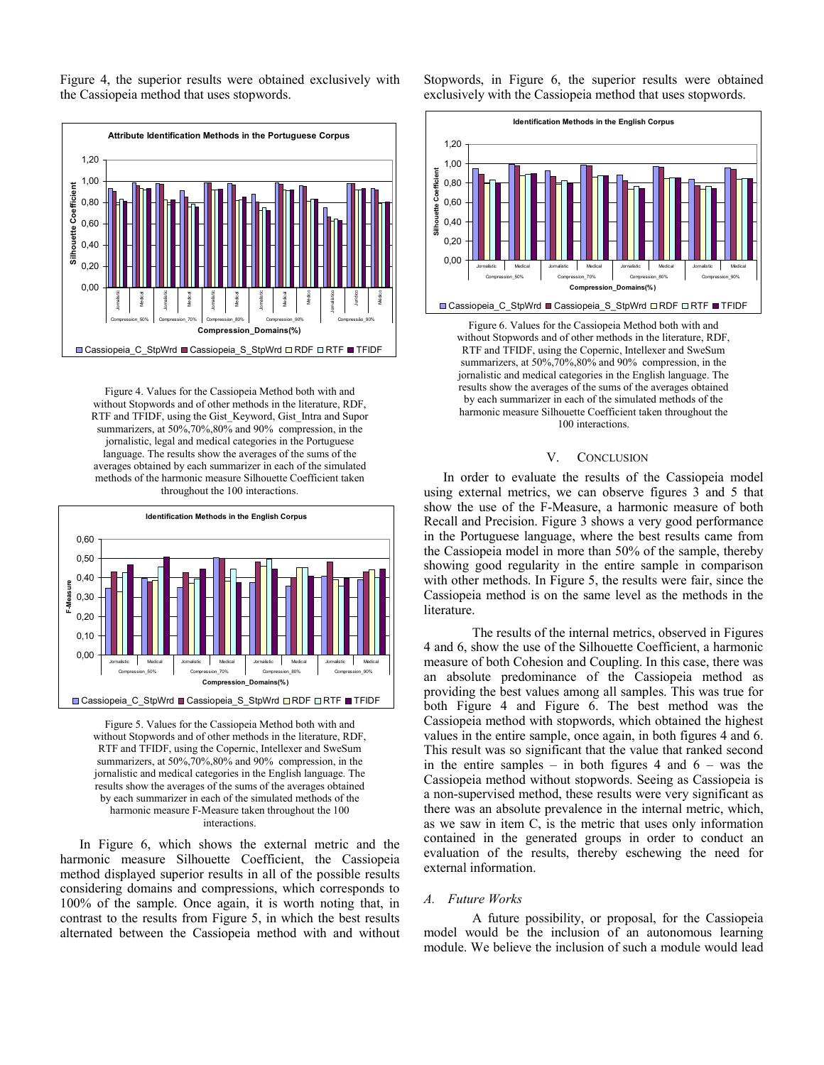Figure 4, the superior results were obtained exclusively with the Cassiopeia method that uses stopwords.



Figure 4. Values for the Cassiopeia Method both with and without Stopwords and of other methods in the literature, RDF, RTF and TFIDF, using the Gist\_Keyword, Gist\_Intra and Supor summarizers, at 50%,70%,80% and 90% compression, in the jornalistic, legal and medical categories in the Portuguese language. The results show the averages of the sums of the averages obtained by each summarizer in each of the simulated methods of the harmonic measure Silhouette Coefficient taken throughout the 100 interactions.



Figure 5. Values for the Cassiopeia Method both with and without Stopwords and of other methods in the literature, RDF, RTF and TFIDF, using the Copernic, Intellexer and SweSum summarizers, at 50%,70%,80% and 90% compression, in the jornalistic and medical categories in the English language. The results show the averages of the sums of the averages obtained by each summarizer in each of the simulated methods of the harmonic measure F-Measure taken throughout the 100 interactions.

In Figure 6, which shows the external metric and the harmonic measure Silhouette Coefficient, the Cassiopeia method displayed superior results in all of the possible results considering domains and compressions, which corresponds to 100% of the sample. Once again, it is worth noting that, in contrast to the results from Figure 5, in which the best results alternated between the Cassiopeia method with and without

Stopwords, in Figure 6, the superior results were obtained exclusively with the Cassiopeia method that uses stopwords.



Figure 6. Values for the Cassiopeia Method both with and without Stopwords and of other methods in the literature, RDF, RTF and TFIDF, using the Copernic, Intellexer and SweSum summarizers, at 50%,70%,80% and 90% compression, in the jornalistic and medical categories in the English language. The results show the averages of the sums of the averages obtained by each summarizer in each of the simulated methods of the harmonic measure Silhouette Coefficient taken throughout the 100 interactions.

#### V. CONCLUSION

In order to evaluate the results of the Cassiopeia model using external metrics, we can observe figures 3 and 5 that show the use of the F-Measure, a harmonic measure of both Recall and Precision. Figure 3 shows a very good performance in the Portuguese language, where the best results came from the Cassiopeia model in more than 50% of the sample, thereby showing good regularity in the entire sample in comparison with other methods. In Figure 5, the results were fair, since the Cassiopeia method is on the same level as the methods in the literature.

 The results of the internal metrics, observed in Figures 4 and 6, show the use of the Silhouette Coefficient, a harmonic measure of both Cohesion and Coupling. In this case, there was an absolute predominance of the Cassiopeia method as providing the best values among all samples. This was true for both Figure 4 and Figure 6. The best method was the Cassiopeia method with stopwords, which obtained the highest values in the entire sample, once again, in both figures 4 and 6. This result was so significant that the value that ranked second in the entire samples – in both figures 4 and  $6 - was$  the Cassiopeia method without stopwords. Seeing as Cassiopeia is a non-supervised method, these results were very significant as there was an absolute prevalence in the internal metric, which, as we saw in item C, is the metric that uses only information contained in the generated groups in order to conduct an evaluation of the results, thereby eschewing the need for external information.

#### *A. Future Works*

 A future possibility, or proposal, for the Cassiopeia model would be the inclusion of an autonomous learning module. We believe the inclusion of such a module would lead